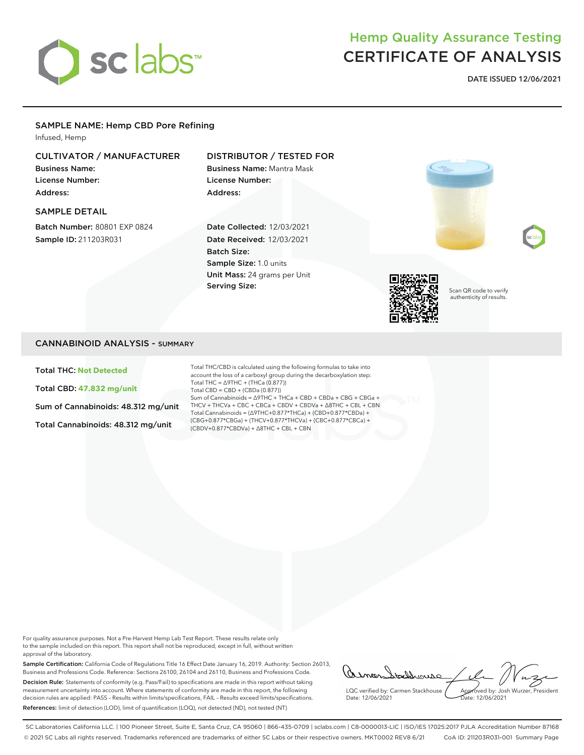

# Hemp Quality Assurance Testing CERTIFICATE OF ANALYSIS

DATE ISSUED 12/06/2021

# SAMPLE NAME: Hemp CBD Pore Refining

Infused, Hemp

# CULTIVATOR / MANUFACTURER

Business Name: License Number: Address:

#### SAMPLE DETAIL

Batch Number: 80801 EXP 0824 Sample ID: 211203R031

# DISTRIBUTOR / TESTED FOR

Business Name: Mantra Mask License Number: Address:

Date Collected: 12/03/2021 Date Received: 12/03/2021 Batch Size: Sample Size: 1.0 units Unit Mass: 24 grams per Unit Serving Size:



Scan QR code to verify authenticity of results.

#### CANNABINOID ANALYSIS - SUMMARY

Total THC: **Not Detected**

Total CBD: **47.832 mg/unit**

Sum of Cannabinoids: 48.312 mg/unit

Total Cannabinoids: 48.312 mg/unit

Total THC/CBD is calculated using the following formulas to take into account the loss of a carboxyl group during the decarboxylation step: Total THC = ∆9THC + (THCa (0.877)) Total CBD = CBD + (CBDa (0.877)) Sum of Cannabinoids = ∆9THC + THCa + CBD + CBDa + CBG + CBGa + THCV + THCVa + CBC + CBCa + CBDV + CBDVa + ∆8THC + CBL + CBN Total Cannabinoids = (∆9THC+0.877\*THCa) + (CBD+0.877\*CBDa) + (CBG+0.877\*CBGa) + (THCV+0.877\*THCVa) + (CBC+0.877\*CBCa) + (CBDV+0.877\*CBDVa) + ∆8THC + CBL + CBN

For quality assurance purposes. Not a Pre-Harvest Hemp Lab Test Report. These results relate only to the sample included on this report. This report shall not be reproduced, except in full, without written approval of the laboratory.

Sample Certification: California Code of Regulations Title 16 Effect Date January 16, 2019. Authority: Section 26013, Business and Professions Code. Reference: Sections 26100, 26104 and 26110, Business and Professions Code. Decision Rule: Statements of conformity (e.g. Pass/Fail) to specifications are made in this report without taking measurement uncertainty into account. Where statements of conformity are made in this report, the following decision rules are applied: PASS – Results within limits/specifications, FAIL – Results exceed limits/specifications. References: limit of detection (LOD), limit of quantification (LOQ), not detected (ND), not tested (NT)

AsmenStaddrouse LQC verified by: Carmen Stackhouse Approved by: Josh Wurzer, President Date: 12/06/2021 Date: 12/06/2021

SC Laboratories California LLC. | 100 Pioneer Street, Suite E, Santa Cruz, CA 95060 | 866-435-0709 | sclabs.com | C8-0000013-LIC | ISO/IES 17025:2017 PJLA Accreditation Number 87168 © 2021 SC Labs all rights reserved. Trademarks referenced are trademarks of either SC Labs or their respective owners. MKT0002 REV8 6/21 CoA ID: 211203R031-001 Summary Page